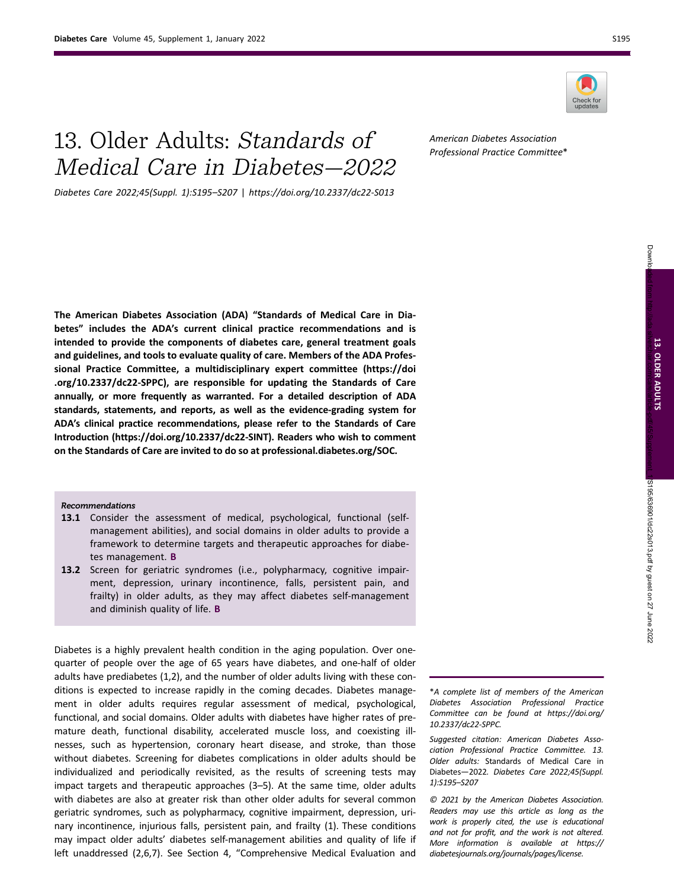

# 13. Older Adults: Standards of Medical Care in Diabetes—2022

Diabetes Care 2022;45(Suppl. 1):S195–S207 | https://doi.org/10.2337/dc22-S013

American Diabetes Association Professional Practice Committee\*

The American Diabetes Association (ADA) "Standards of Medical Care in Diabetes" includes the ADA's current clinical practice recommendations and is intended to provide the components of diabetes care, general treatment goals and guidelines, and tools to evaluate quality of care. Members of the ADA Professional Practice Committee, a multidisciplinary expert committee ([https://doi](https://doi.org/10.2337/dc22-SPPC) [.org/10.2337/dc22-SPPC\)](https://doi.org/10.2337/dc22-SPPC), are responsible for updating the Standards of Care annually, or more frequently as warranted. For a detailed description of ADA standards, statements, and reports, as well as the evidence-grading system for ADA's clinical practice recommendations, please refer to the Standards of Care Introduction [\(https://doi.org/10.2337/dc22-SINT](https://doi.org/10.2337/dc22-SINT)). Readers who wish to comment on the Standards of Care are invited to do so at [professional.diabetes.org/SOC.](https://professional.diabetes.org/SOC)

## Recommendations

- 13.1 Consider the assessment of medical, psychological, functional (selfmanagement abilities), and social domains in older adults to provide a framework to determine targets and therapeutic approaches for diabetes management. B
- 13.2 Screen for geriatric syndromes (i.e., polypharmacy, cognitive impairment, depression, urinary incontinence, falls, persistent pain, and frailty) in older adults, as they may affect diabetes self-management and diminish quality of life. B

Diabetes is a highly prevalent health condition in the aging population. Over onequarter of people over the age of 65 years have diabetes, and one-half of older adults have prediabetes (1,2), and the number of older adults living with these conditions is expected to increase rapidly in the coming decades. Diabetes management in older adults requires regular assessment of medical, psychological, functional, and social domains. Older adults with diabetes have higher rates of premature death, functional disability, accelerated muscle loss, and coexisting illnesses, such as hypertension, coronary heart disease, and stroke, than those without diabetes. Screening for diabetes complications in older adults should be individualized and periodically revisited, as the results of screening tests may impact targets and therapeutic approaches (3–5). At the same time, older adults with diabetes are also at greater risk than other older adults for several common geriatric syndromes, such as polypharmacy, cognitive impairment, depression, urinary incontinence, injurious falls, persistent pain, and frailty (1). These conditions may impact older adults' diabetes self-management abilities and quality of life if left unaddressed (2,6,7). See Section 4, "Comprehensive Medical Evaluation and

\*A complete list of members of the American Diabetes Association Professional Practice Committee can be found at [https://doi.org/](https://doi.org/10.2337/dc22-SPPC) [10.2337/dc22-SPPC](https://doi.org/10.2337/dc22-SPPC).

Suggested citation: American Diabetes Association Professional Practice Committee. 13. Older adults: Standards of Medical Care in Diabetes—2022. Diabetes Care 2022;45(Suppl. 1):S195–S207

© 2021 by the American Diabetes Association. Readers may use this article as long as the work is properly cited, the use is educational and not for profit, and the work is not altered. More information is available at [https://](https://diabetesjournals.org/journals/pages/license) [diabetesjournals.org/journals/pages/license.](https://diabetesjournals.org/journals/pages/license)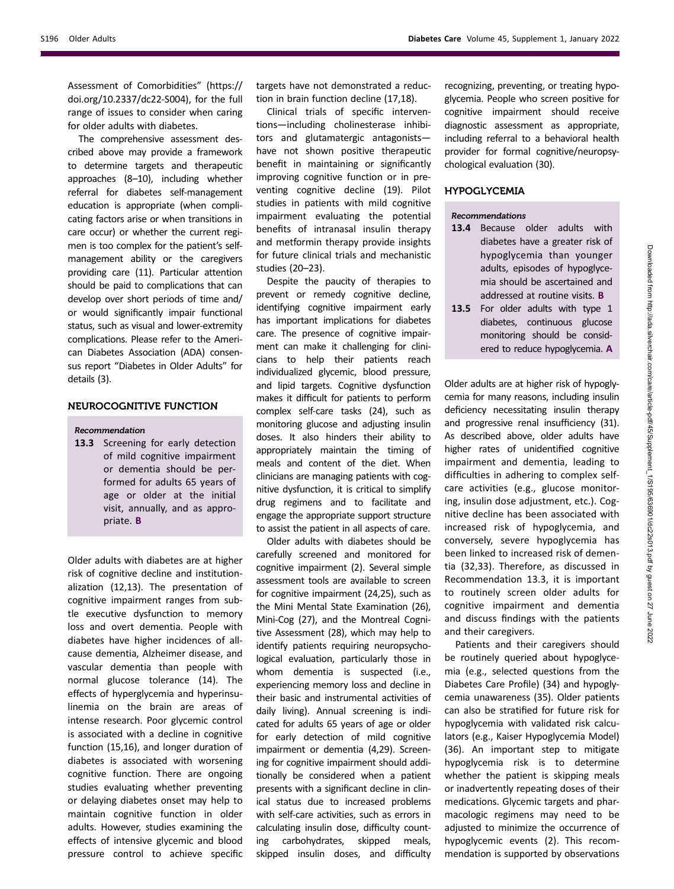Assessment of Comorbidities" ([https://](https://doi.org/10.2337/dc22-S004) [doi.org/10.2337/dc22-S004](https://doi.org/10.2337/dc22-S004)), for the full range of issues to consider when caring for older adults with diabetes.

The comprehensive assessment described above may provide a framework to determine targets and therapeutic approaches (8–10), including whether referral for diabetes self-management education is appropriate (when complicating factors arise or when transitions in care occur) or whether the current regimen is too complex for the patient's selfmanagement ability or the caregivers providing care (11). Particular attention should be paid to complications that can develop over short periods of time and/ or would significantly impair functional status, such as visual and lower-extremity complications. Please refer to the American Diabetes Association (ADA) consensus report "Diabetes in Older Adults" for details (3).

# NEUROCOGNITIVE FUNCTION

Recommendation

13.3 Screening for early detection of mild cognitive impairment or dementia should be performed for adults 65 years of age or older at the initial visit, annually, and as appropriate. B

Older adults with diabetes are at higher risk of cognitive decline and institutionalization (12,13). The presentation of cognitive impairment ranges from subtle executive dysfunction to memory loss and overt dementia. People with diabetes have higher incidences of allcause dementia, Alzheimer disease, and vascular dementia than people with normal glucose tolerance (14). The effects of hyperglycemia and hyperinsulinemia on the brain are areas of intense research. Poor glycemic control is associated with a decline in cognitive function (15,16), and longer duration of diabetes is associated with worsening cognitive function. There are ongoing studies evaluating whether preventing or delaying diabetes onset may help to maintain cognitive function in older adults. However, studies examining the effects of intensive glycemic and blood pressure control to achieve specific

targets have not demonstrated a reduction in brain function decline (17,18).

Clinical trials of specific interventions—including cholinesterase inhibitors and glutamatergic antagonists have not shown positive therapeutic benefit in maintaining or significantly improving cognitive function or in preventing cognitive decline (19). Pilot studies in patients with mild cognitive impairment evaluating the potential benefits of intranasal insulin therapy and metformin therapy provide insights for future clinical trials and mechanistic studies (20–23).

Despite the paucity of therapies to prevent or remedy cognitive decline, identifying cognitive impairment early has important implications for diabetes care. The presence of cognitive impairment can make it challenging for clinicians to help their patients reach individualized glycemic, blood pressure, and lipid targets. Cognitive dysfunction makes it difficult for patients to perform complex self-care tasks (24), such as monitoring glucose and adjusting insulin doses. It also hinders their ability to appropriately maintain the timing of meals and content of the diet. When clinicians are managing patients with cognitive dysfunction, it is critical to simplify drug regimens and to facilitate and engage the appropriate support structure to assist the patient in all aspects of care.

Older adults with diabetes should be carefully screened and monitored for cognitive impairment (2). Several simple assessment tools are available to screen for cognitive impairment (24,25), such as the Mini Mental State Examination (26), Mini-Cog (27), and the Montreal Cognitive Assessment (28), which may help to identify patients requiring neuropsychological evaluation, particularly those in whom dementia is suspected (i.e., experiencing memory loss and decline in their basic and instrumental activities of daily living). Annual screening is indicated for adults 65 years of age or older for early detection of mild cognitive impairment or dementia (4,29). Screening for cognitive impairment should additionally be considered when a patient presents with a significant decline in clinical status due to increased problems with self-care activities, such as errors in calculating insulin dose, difficulty counting carbohydrates, skipped meals, skipped insulin doses, and difficulty

recognizing, preventing, or treating hypoglycemia. People who screen positive for cognitive impairment should receive diagnostic assessment as appropriate, including referral to a behavioral health provider for formal cognitive/neuropsychological evaluation (30).

## HYPOGLYCEMIA

## Recommendations

- 13.4 Because older adults with diabetes have a greater risk of hypoglycemia than younger adults, episodes of hypoglycemia should be ascertained and addressed at routine visits. B
- 13.5 For older adults with type 1 diabetes, continuous glucose monitoring should be considered to reduce hypoglycemia. A

Older adults are at higher risk of hypoglycemia for many reasons, including insulin deficiency necessitating insulin therapy and progressive renal insufficiency (31). As described above, older adults have higher rates of unidentified cognitive impairment and dementia, leading to difficulties in adhering to complex selfcare activities (e.g., glucose monitoring, insulin dose adjustment, etc.). Cognitive decline has been associated with increased risk of hypoglycemia, and conversely, severe hypoglycemia has been linked to increased risk of dementia (32,33). Therefore, as discussed in Recommendation 13.3, it is important to routinely screen older adults for cognitive impairment and dementia and discuss findings with the patients and their caregivers.

Patients and their caregivers should be routinely queried about hypoglycemia (e.g., selected questions from the Diabetes Care Profile) (34) and hypoglycemia unawareness (35). Older patients can also be stratified for future risk for hypoglycemia with validated risk calculators (e.g., Kaiser Hypoglycemia Model) (36). An important step to mitigate hypoglycemia risk is to determine whether the patient is skipping meals or inadvertently repeating doses of their medications. Glycemic targets and pharmacologic regimens may need to be adjusted to minimize the occurrence of hypoglycemic events (2). This recommendation is supported by observations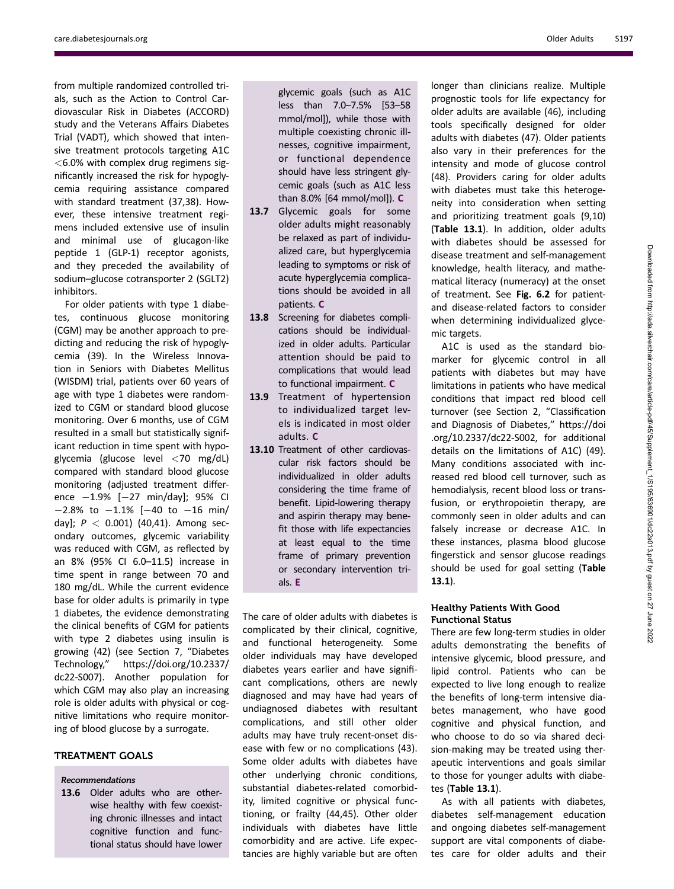from multiple randomized controlled trials, such as the Action to Control Cardiovascular Risk in Diabetes (ACCORD) study and the Veterans Affairs Diabetes Trial (VADT), which showed that intensive treatment protocols targeting A1C  $<$  6.0% with complex drug regimens significantly increased the risk for hypoglycemia requiring assistance compared with standard treatment (37,38). However, these intensive treatment regimens included extensive use of insulin and minimal use of glucagon-like peptide 1 (GLP-1) receptor agonists, and they preceded the availability of sodium–glucose cotransporter 2 (SGLT2) inhibitors.

For older patients with type 1 diabetes, continuous glucose monitoring (CGM) may be another approach to predicting and reducing the risk of hypoglycemia (39). In the Wireless Innovation in Seniors with Diabetes Mellitus (WISDM) trial, patients over 60 years of age with type 1 diabetes were randomized to CGM or standard blood glucose monitoring. Over 6 months, use of CGM resulted in a small but statistically significant reduction in time spent with hypoglycemia (glucose level <70 mg/dL) compared with standard blood glucose monitoring (adjusted treatment difference  $-1.9\%$   $[-27 \text{ min/day}]$ ; 95% CI  $-2.8\%$  to  $-1.1\%$  [-40 to -16 min/ day];  $P < 0.001$ ) (40,41). Among secondary outcomes, glycemic variability was reduced with CGM, as reflected by an 8% (95% CI 6.0–11.5) increase in time spent in range between 70 and 180 mg/dL. While the current evidence base for older adults is primarily in type 1 diabetes, the evidence demonstrating the clinical benefits of CGM for patients with type 2 diabetes using insulin is growing (42) (see Section 7, "Diabetes Technology," [https://doi.org/10.2337/](https://doi.org/10.2337/dc22-S007) [dc22-S007](https://doi.org/10.2337/dc22-S007)). Another population for which CGM may also play an increasing role is older adults with physical or cognitive limitations who require monitoring of blood glucose by a surrogate.

# TREATMENT GOALS

# Recommendations

13.6 Older adults who are otherwise healthy with few coexisting chronic illnesses and intact cognitive function and functional status should have lower

glycemic goals (such as A1C less than 7.0–7.5% [53–58 mmol/mol]), while those with multiple coexisting chronic illnesses, cognitive impairment, or functional dependence should have less stringent glycemic goals (such as A1C less than 8.0% [64 mmol/mol]). C

- 13.7 Glycemic goals for some older adults might reasonably be relaxed as part of individualized care, but hyperglycemia leading to symptoms or risk of acute hyperglycemia complications should be avoided in all patients. C
- 13.8 Screening for diabetes complications should be individualized in older adults. Particular attention should be paid to complications that would lead to functional impairment. C
- 13.9 Treatment of hypertension to individualized target levels is indicated in most older adults. C
- 13.10 Treatment of other cardiovascular risk factors should be individualized in older adults considering the time frame of benefit. Lipid-lowering therapy and aspirin therapy may benefit those with life expectancies at least equal to the time frame of primary prevention or secondary intervention trials. E

The care of older adults with diabetes is complicated by their clinical, cognitive, and functional heterogeneity. Some older individuals may have developed diabetes years earlier and have significant complications, others are newly diagnosed and may have had years of undiagnosed diabetes with resultant complications, and still other older adults may have truly recent-onset disease with few or no complications (43). Some older adults with diabetes have other underlying chronic conditions, substantial diabetes-related comorbidity, limited cognitive or physical functioning, or frailty (44,45). Other older individuals with diabetes have little comorbidity and are active. Life expectancies are highly variable but are often

longer than clinicians realize. Multiple prognostic tools for life expectancy for older adults are available (46), including tools specifically designed for older adults with diabetes (47). Older patients also vary in their preferences for the intensity and mode of glucose control (48). Providers caring for older adults with diabetes must take this heterogeneity into consideration when setting and prioritizing treatment goals (9,10) (Table 13.1). In addition, older adults with diabetes should be assessed for disease treatment and self-management knowledge, health literacy, and mathematical literacy (numeracy) at the onset of treatment. See Fig. 6.2 for patientand disease-related factors to consider when determining individualized glycemic targets.

A1C is used as the standard biomarker for glycemic control in all patients with diabetes but may have limitations in patients who have medical conditions that impact red blood cell turnover (see Section 2, "Classification and Diagnosis of Diabetes," [https://doi](https://doi.org/10.2337/dc22-S002) [.org/10.2337/dc22-S002,](https://doi.org/10.2337/dc22-S002) for additional details on the limitations of A1C) (49). Many conditions associated with increased red blood cell turnover, such as hemodialysis, recent blood loss or transfusion, or erythropoietin therapy, are commonly seen in older adults and can falsely increase or decrease A1C. In these instances, plasma blood glucose fingerstick and sensor glucose readings should be used for goal setting (Table 13.1).

# Healthy Patients With Good Functional Status

There are few long-term studies in older adults demonstrating the benefits of intensive glycemic, blood pressure, and lipid control. Patients who can be expected to live long enough to realize the benefits of long-term intensive diabetes management, who have good cognitive and physical function, and who choose to do so via shared decision-making may be treated using therapeutic interventions and goals similar to those for younger adults with diabetes (Table 13.1).

As with all patients with diabetes, diabetes self-management education and ongoing diabetes self-management support are vital components of diabetes care for older adults and their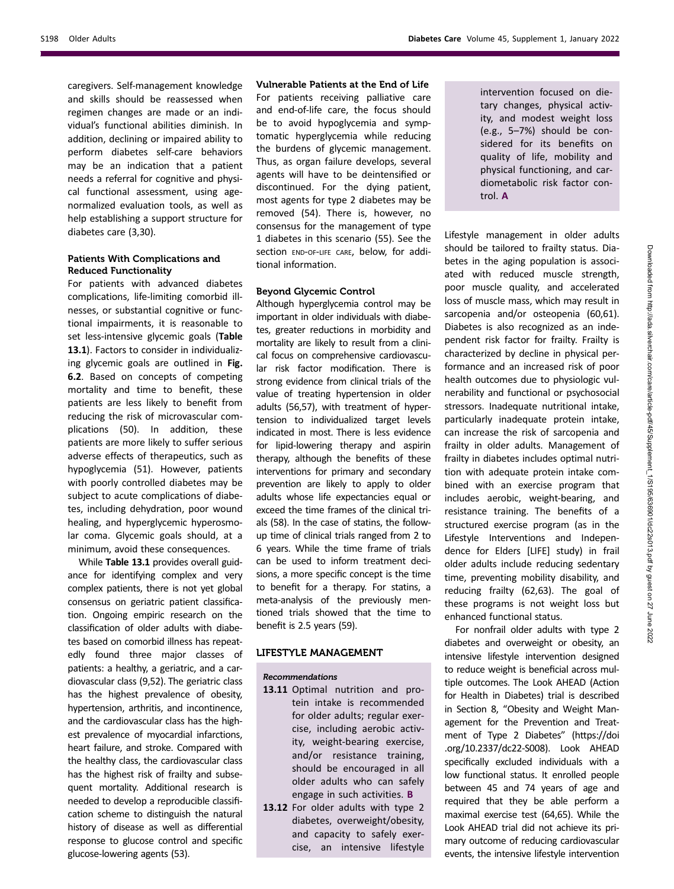caregivers. Self-management knowledge and skills should be reassessed when regimen changes are made or an individual's functional abilities diminish. In addition, declining or impaired ability to perform diabetes self-care behaviors may be an indication that a patient needs a referral for cognitive and physical functional assessment, using agenormalized evaluation tools, as well as help establishing a support structure for diabetes care (3,30).

# Patients With Complications and Reduced Functionality

For patients with advanced diabetes complications, life-limiting comorbid illnesses, or substantial cognitive or functional impairments, it is reasonable to set less-intensive glycemic goals (Table 13.1). Factors to consider in individualizing glycemic goals are outlined in Fig. 6.2. Based on concepts of competing mortality and time to benefit, these patients are less likely to benefit from reducing the risk of microvascular complications (50). In addition, these patients are more likely to suffer serious adverse effects of therapeutics, such as hypoglycemia (51). However, patients with poorly controlled diabetes may be subject to acute complications of diabetes, including dehydration, poor wound healing, and hyperglycemic hyperosmolar coma. Glycemic goals should, at a minimum, avoid these consequences.

While Table 13.1 provides overall guidance for identifying complex and very complex patients, there is not yet global consensus on geriatric patient classification. Ongoing empiric research on the classification of older adults with diabetes based on comorbid illness has repeatedly found three major classes of patients: a healthy, a geriatric, and a cardiovascular class (9,52). The geriatric class has the highest prevalence of obesity, hypertension, arthritis, and incontinence, and the cardiovascular class has the highest prevalence of myocardial infarctions, heart failure, and stroke. Compared with the healthy class, the cardiovascular class has the highest risk of frailty and subsequent mortality. Additional research is needed to develop a reproducible classification scheme to distinguish the natural history of disease as well as differential response to glucose control and specific glucose-lowering agents (53).

Vulnerable Patients at the End of Life For patients receiving palliative care and end-of-life care, the focus should be to avoid hypoglycemia and symptomatic hyperglycemia while reducing the burdens of glycemic management. Thus, as organ failure develops, several agents will have to be deintensified or discontinued. For the dying patient, most agents for type 2 diabetes may be removed (54). There is, however, no consensus for the management of type 1 diabetes in this scenario (55). See the section END-OF-LIFE CARE, below, for additional information.

# Beyond Glycemic Control

Although hyperglycemia control may be important in older individuals with diabetes, greater reductions in morbidity and mortality are likely to result from a clinical focus on comprehensive cardiovascular risk factor modification. There is strong evidence from clinical trials of the value of treating hypertension in older adults (56,57), with treatment of hypertension to individualized target levels indicated in most. There is less evidence for lipid-lowering therapy and aspirin therapy, although the benefits of these interventions for primary and secondary prevention are likely to apply to older adults whose life expectancies equal or exceed the time frames of the clinical trials (58). In the case of statins, the followup time of clinical trials ranged from 2 to 6 years. While the time frame of trials can be used to inform treatment decisions, a more specific concept is the time to benefit for a therapy. For statins, a meta-analysis of the previously mentioned trials showed that the time to benefit is 2.5 years (59).

# LIFESTYLE MANAGEMENT

#### Recommendations

- 13.11 Optimal nutrition and protein intake is recommended for older adults; regular exercise, including aerobic activity, weight-bearing exercise, and/or resistance training, should be encouraged in all older adults who can safely engage in such activities. B
- 13.12 For older adults with type 2 diabetes, overweight/obesity, and capacity to safely exercise, an intensive lifestyle

intervention focused on dietary changes, physical activity, and modest weight loss (e.g., 5–7%) should be considered for its benefits on quality of life, mobility and physical functioning, and cardiometabolic risk factor control. A

Lifestyle management in older adults should be tailored to frailty status. Diabetes in the aging population is associated with reduced muscle strength, poor muscle quality, and accelerated loss of muscle mass, which may result in sarcopenia and/or osteopenia (60,61). Diabetes is also recognized as an independent risk factor for frailty. Frailty is characterized by decline in physical performance and an increased risk of poor health outcomes due to physiologic vulnerability and functional or psychosocial stressors. Inadequate nutritional intake. particularly inadequate protein intake, can increase the risk of sarcopenia and frailty in older adults. Management of frailty in diabetes includes optimal nutrition with adequate protein intake combined with an exercise program that includes aerobic, weight-bearing, and resistance training. The benefits of a structured exercise program (as in the Lifestyle Interventions and Independence for Elders [LIFE] study) in frail older adults include reducing sedentary time, preventing mobility disability, and reducing frailty (62,63). The goal of these programs is not weight loss but enhanced functional status.

For nonfrail older adults with type 2 diabetes and overweight or obesity, an intensive lifestyle intervention designed to reduce weight is beneficial across multiple outcomes. The Look AHEAD (Action for Health in Diabetes) trial is described in Section 8, "Obesity and Weight Management for the Prevention and Treatment of Type 2 Diabetes" ([https://doi](https://doi.org/10.2337/dc22-S008) [.org/10.2337/dc22-S008](https://doi.org/10.2337/dc22-S008)). Look AHEAD specifically excluded individuals with a low functional status. It enrolled people between 45 and 74 years of age and required that they be able perform a maximal exercise test (64,65). While the Look AHEAD trial did not achieve its primary outcome of reducing cardiovascular events, the intensive lifestyle intervention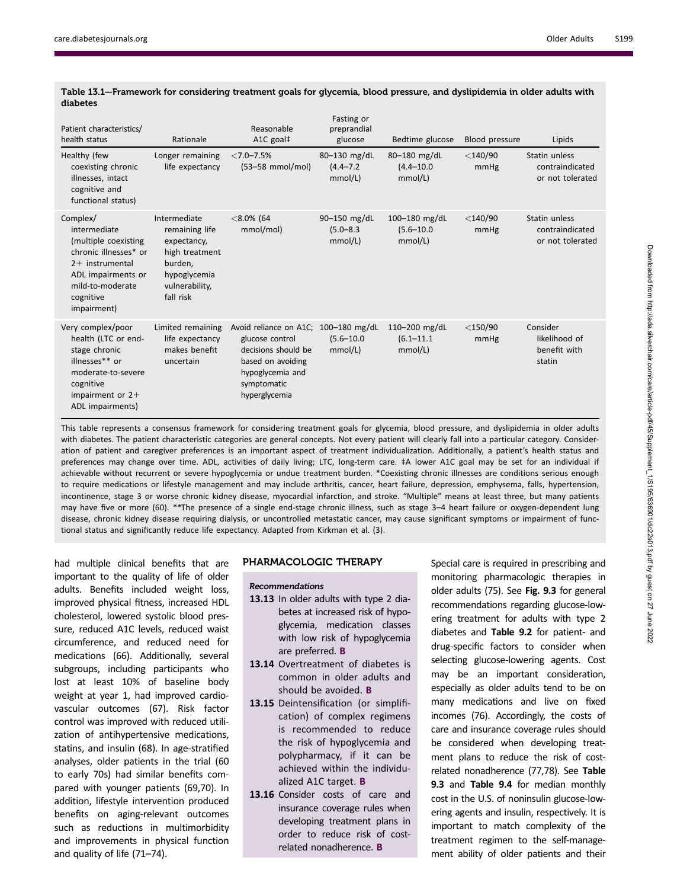| Patient characteristics/<br>health status                                                                                                                            | Rationale                                                                                                                 | Reasonable<br>A1C goal‡                                                                                                                                 | Fasting or<br>preprandial<br>glucose        | Bedtime glucose                            | Blood pressure     | Lipids                                               |
|----------------------------------------------------------------------------------------------------------------------------------------------------------------------|---------------------------------------------------------------------------------------------------------------------------|---------------------------------------------------------------------------------------------------------------------------------------------------------|---------------------------------------------|--------------------------------------------|--------------------|------------------------------------------------------|
| Healthy (few<br>coexisting chronic<br>illnesses, intact<br>cognitive and<br>functional status)                                                                       | Longer remaining<br>life expectancy                                                                                       | $< 7.0 - 7.5%$<br>$(53-58$ mmol/mol)                                                                                                                    | 80 $-130$ mg/dL<br>$(4.4 - 7.2)$<br>mmol/L) | 80-180 mg/dL<br>$(4.4 - 10.0)$<br>mmol/L)  | $<$ 140/90<br>mmHg | Statin unless<br>contraindicated<br>or not tolerated |
| Complex/<br>intermediate<br>(multiple coexisting<br>chronic illnesses* or<br>$2+$ instrumental<br>ADL impairments or<br>mild-to-moderate<br>cognitive<br>impairment) | Intermediate<br>remaining life<br>expectancy,<br>high treatment<br>burden,<br>hypoglycemia<br>vulnerability,<br>fall risk | $< 8.0\%$ (64<br>mmol/mol)                                                                                                                              | 90-150 mg/dL<br>$(5.0 - 8.3)$<br>mmol/L)    | 100-180 mg/dL<br>$(5.6 - 10.0)$<br>mmol/L) | $<$ 140/90<br>mmHg | Statin unless<br>contraindicated<br>or not tolerated |
| Very complex/poor<br>health (LTC or end-<br>stage chronic<br>illnesses** or<br>moderate-to-severe<br>cognitive<br>impairment or $2+$<br>ADL impairments)             | Limited remaining<br>life expectancy<br>makes benefit<br>uncertain                                                        | Avoid reliance on A1C; 100-180 mg/dL<br>glucose control<br>decisions should be<br>based on avoiding<br>hypoglycemia and<br>symptomatic<br>hyperglycemia | $(5.6 - 10.0)$<br>mmol/L)                   | 110-200 mg/dL<br>$(6.1 - 11.1)$<br>mmol/L) | $<$ 150/90<br>mmHg | Consider<br>likelihood of<br>benefit with<br>statin  |

Table 13.1—Framework for considering treatment goals for glycemia, blood pressure, and dyslipidemia in older adults with diabetes

This table represents a consensus framework for considering treatment goals for glycemia, blood pressure, and dyslipidemia in older adults with diabetes. The patient characteristic categories are general concepts. Not every patient will clearly fall into a particular category. Consideration of patient and caregiver preferences is an important aspect of treatment individualization. Additionally, a patient's health status and preferences may change over time. ADL, activities of daily living; LTC, long-term care. ‡A lower A1C goal may be set for an individual if achievable without recurrent or severe hypoglycemia or undue treatment burden. \*Coexisting chronic illnesses are conditions serious enough to require medications or lifestyle management and may include arthritis, cancer, heart failure, depression, emphysema, falls, hypertension, incontinence, stage 3 or worse chronic kidney disease, myocardial infarction, and stroke. "Multiple" means at least three, but many patients may have five or more (60). \*\*The presence of a single end-stage chronic illness, such as stage 3–4 heart failure or oxygen-dependent lung disease, chronic kidney disease requiring dialysis, or uncontrolled metastatic cancer, may cause significant symptoms or impairment of functional status and significantly reduce life expectancy. Adapted from Kirkman et al. (3).

had multiple clinical benefits that are important to the quality of life of older adults. Benefits included weight loss, improved physical fitness, increased HDL cholesterol, lowered systolic blood pressure, reduced A1C levels, reduced waist circumference, and reduced need for medications (66). Additionally, several subgroups, including participants who lost at least 10% of baseline body weight at year 1, had improved cardiovascular outcomes (67). Risk factor control was improved with reduced utilization of antihypertensive medications, statins, and insulin (68). In age-stratified analyses, older patients in the trial (60 to early 70s) had similar benefits compared with younger patients (69,70). In addition, lifestyle intervention produced benefits on aging-relevant outcomes such as reductions in multimorbidity and improvements in physical function and quality of life (71–74).

# PHARMACOLOGIC THERAPY

#### Recommendations

- 13.13 In older adults with type 2 diabetes at increased risk of hypoglycemia, medication classes with low risk of hypoglycemia are preferred. B
- 13.14 Overtreatment of diabetes is common in older adults and should be avoided. B
- 13.15 Deintensification (or simplification) of complex regimens is recommended to reduce the risk of hypoglycemia and polypharmacy, if it can be achieved within the individualized A1C target. B
- 13.16 Consider costs of care and insurance coverage rules when developing treatment plans in order to reduce risk of costrelated nonadherence. B

Special care is required in prescribing and monitoring pharmacologic therapies in older adults (75). See Fig. 9.3 for general recommendations regarding glucose-lowering treatment for adults with type 2 diabetes and Table 9.2 for patient- and drug-specific factors to consider when selecting glucose-lowering agents. Cost may be an important consideration, especially as older adults tend to be on many medications and live on fixed incomes (76). Accordingly, the costs of care and insurance coverage rules should be considered when developing treatment plans to reduce the risk of costrelated nonadherence (77,78). See Table 9.3 and Table 9.4 for median monthly cost in the U.S. of noninsulin glucose-lowering agents and insulin, respectively. It is important to match complexity of the treatment regimen to the self-management ability of older patients and their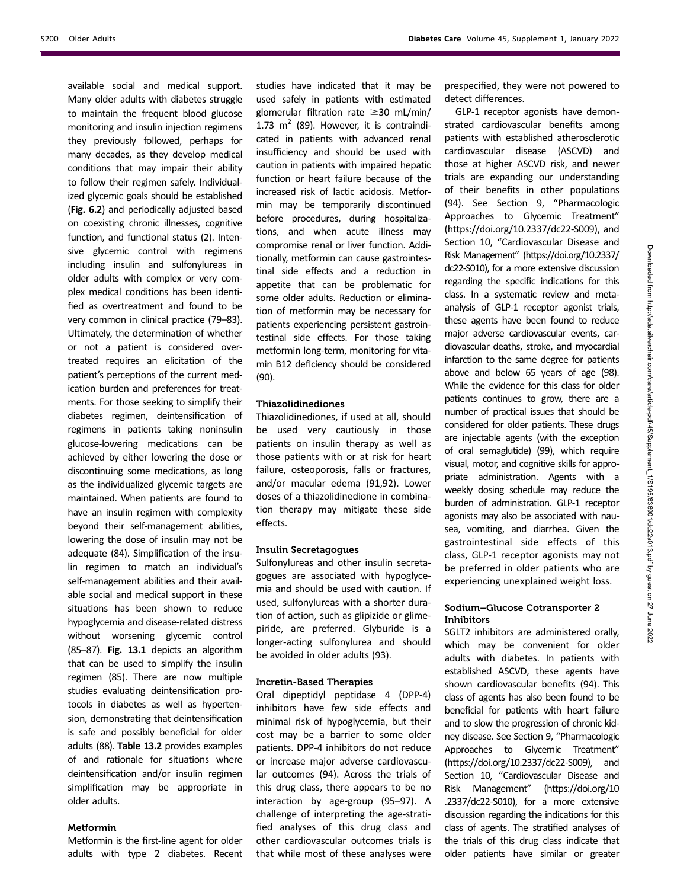available social and medical support. Many older adults with diabetes struggle to maintain the frequent blood glucose monitoring and insulin injection regimens they previously followed, perhaps for many decades, as they develop medical conditions that may impair their ability to follow their regimen safely. Individualized glycemic goals should be established (Fig. 6.2) and periodically adjusted based on coexisting chronic illnesses, cognitive function, and functional status (2). Intensive glycemic control with regimens including insulin and sulfonylureas in older adults with complex or very complex medical conditions has been identified as overtreatment and found to be very common in clinical practice (79–83). Ultimately, the determination of whether or not a patient is considered overtreated requires an elicitation of the patient's perceptions of the current medication burden and preferences for treatments. For those seeking to simplify their diabetes regimen, deintensification of regimens in patients taking noninsulin glucose-lowering medications can be achieved by either lowering the dose or discontinuing some medications, as long as the individualized glycemic targets are maintained. When patients are found to have an insulin regimen with complexity beyond their self-management abilities, lowering the dose of insulin may not be adequate (84). Simplification of the insulin regimen to match an individual's self-management abilities and their available social and medical support in these situations has been shown to reduce hypoglycemia and disease-related distress without worsening glycemic control (85–87). Fig. 13.1 depicts an algorithm that can be used to simplify the insulin regimen (85). There are now multiple studies evaluating deintensification protocols in diabetes as well as hypertension, demonstrating that deintensification is safe and possibly beneficial for older adults (88). Table 13.2 provides examples of and rationale for situations where deintensification and/or insulin regimen simplification may be appropriate in older adults.

# Metformin

Metformin is the first-line agent for older adults with type 2 diabetes. Recent studies have indicated that it may be used safely in patients with estimated glomerular filtration rate  $\geq$ 30 mL/min/ 1.73  $m^2$  (89). However, it is contraindicated in patients with advanced renal insufficiency and should be used with caution in patients with impaired hepatic function or heart failure because of the increased risk of lactic acidosis. Metformin may be temporarily discontinued before procedures, during hospitalizations, and when acute illness may compromise renal or liver function. Additionally, metformin can cause gastrointestinal side effects and a reduction in appetite that can be problematic for some older adults. Reduction or elimination of metformin may be necessary for patients experiencing persistent gastrointestinal side effects. For those taking metformin long-term, monitoring for vitamin B12 deficiency should be considered (90).

#### Thiazolidinediones

Thiazolidinediones, if used at all, should be used very cautiously in those patients on insulin therapy as well as those patients with or at risk for heart failure, osteoporosis, falls or fractures, and/or macular edema (91,92). Lower doses of a thiazolidinedione in combination therapy may mitigate these side effects.

#### Insulin Secretagogues

Sulfonylureas and other insulin secretagogues are associated with hypoglycemia and should be used with caution. If used, sulfonylureas with a shorter duration of action, such as glipizide or glimepiride, are preferred. Glyburide is a longer-acting sulfonylurea and should be avoided in older adults (93).

#### Incretin-Based Therapies

Oral dipeptidyl peptidase 4 (DPP-4) inhibitors have few side effects and minimal risk of hypoglycemia, but their cost may be a barrier to some older patients. DPP-4 inhibitors do not reduce or increase major adverse cardiovascular outcomes (94). Across the trials of this drug class, there appears to be no interaction by age-group (95–97). A challenge of interpreting the age-stratified analyses of this drug class and other cardiovascular outcomes trials is that while most of these analyses were

prespecified, they were not powered to detect differences.

GLP-1 receptor agonists have demonstrated cardiovascular benefits among patients with established atherosclerotic cardiovascular disease (ASCVD) and those at higher ASCVD risk, and newer trials are expanding our understanding of their benefits in other populations (94). See Section 9, "Pharmacologic Approaches to Glycemic Treatment" ([https://doi.org/10.2337/dc22-S009\)](https://doi.org/10.2337/dc22-S009), and Section 10, "Cardiovascular Disease and Risk Management" [\(https://doi.org/10.2337/](https://doi.org/10.2337/dc22-S010) [dc22-S010\)](https://doi.org/10.2337/dc22-S010), for a more extensive discussion regarding the specific indications for this class. In a systematic review and metaanalysis of GLP-1 receptor agonist trials, these agents have been found to reduce major adverse cardiovascular events, cardiovascular deaths, stroke, and myocardial infarction to the same degree for patients above and below 65 years of age (98). While the evidence for this class for older patients continues to grow, there are a number of practical issues that should be considered for older patients. These drugs are injectable agents (with the exception of oral semaglutide) (99), which require visual, motor, and cognitive skills for appropriate administration. Agents with a weekly dosing schedule may reduce the burden of administration. GLP-1 receptor agonists may also be associated with nausea, vomiting, and diarrhea. Given the gastrointestinal side effects of this class, GLP-1 receptor agonists may not be preferred in older patients who are experiencing unexplained weight loss.

# Sodium–Glucose Cotransporter 2 Inhibitors

SGLT2 inhibitors are administered orally, which may be convenient for older adults with diabetes. In patients with established ASCVD, these agents have shown cardiovascular benefits (94). This class of agents has also been found to be beneficial for patients with heart failure and to slow the progression of chronic kidney disease. See Section 9, "Pharmacologic Approaches to Glycemic Treatment" [\(https://doi.org/10.2337/dc22-S009\)](https://doi.org/10.2337/dc22-S009), and Section 10, "Cardiovascular Disease and Risk Management" [\(https://doi.org/10](https://doi.org/10.2337/dc22-S010) [.2337/dc22-S010\)](https://doi.org/10.2337/dc22-S010), for a more extensive discussion regarding the indications for this class of agents. The stratified analyses of the trials of this drug class indicate that older patients have similar or greater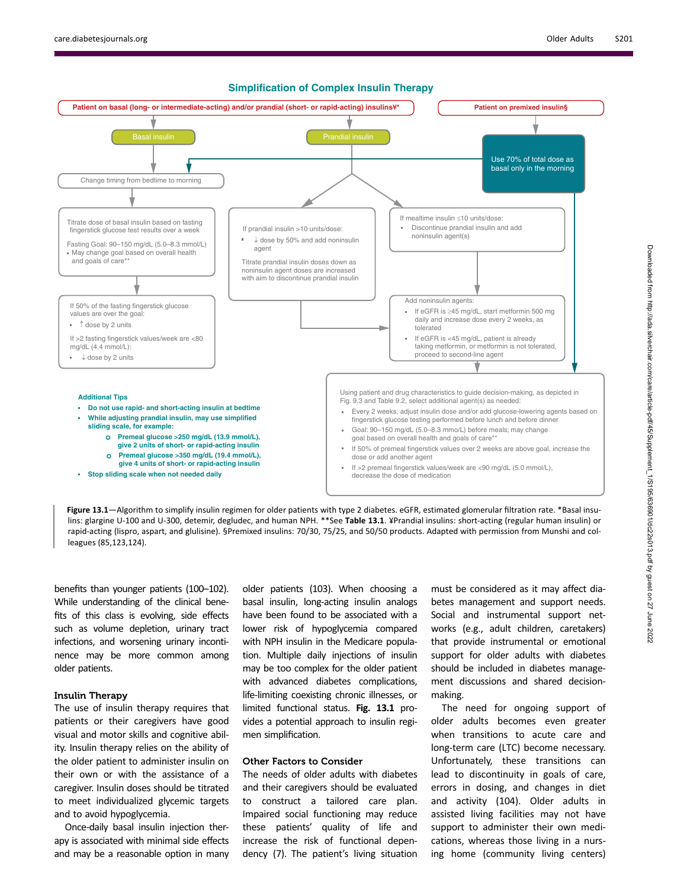

- **give 2 units of short- or rapid-acting insulin**
	- **Premeal glucose >350 mg/dL (19.4 mmol/L),**
	- **give 4 units of short- or rapid-acting insulin**
- **Stop sliding scale when not needed daily**
- If 50% of premeal fingerstick values over 2 weeks are above goal, increase the dose or add another agent
- If >2 premeal fingerstick values/week are <90 mg/dL (5.0 mmol/L), decrease the dose of medication

Figure 13.1—Algorithm to simplify insulin regimen for older patients with type 2 diabetes. eGFR, estimated glomerular filtration rate. \*Basal insulins: glargine U-100 and U-300, detemir, degludec, and human NPH. \*\*See Table 13.1. ¥Prandial insulins: short-acting (regular human insulin) or rapid-acting (lispro, aspart, and glulisine). §Premixed insulins: 70/30, 75/25, and 50/50 products. Adapted with permission from Munshi and colleagues (85,123,124).

benefits than younger patients (100–102). While understanding of the clinical benefits of this class is evolving, side effects such as volume depletion, urinary tract infections, and worsening urinary incontinence may be more common among older patients.

## Insulin Therapy

The use of insulin therapy requires that patients or their caregivers have good visual and motor skills and cognitive ability. Insulin therapy relies on the ability of the older patient to administer insulin on their own or with the assistance of a caregiver. Insulin doses should be titrated to meet individualized glycemic targets and to avoid hypoglycemia.

Once-daily basal insulin injection therapy is associated with minimal side effects and may be a reasonable option in many older patients (103). When choosing a basal insulin, long-acting insulin analogs have been found to be associated with a lower risk of hypoglycemia compared with NPH insulin in the Medicare population. Multiple daily injections of insulin may be too complex for the older patient with advanced diabetes complications, life-limiting coexisting chronic illnesses, or limited functional status. Fig. 13.1 provides a potential approach to insulin regimen simplification.

#### Other Factors to Consider

The needs of older adults with diabetes and their caregivers should be evaluated to construct a tailored care plan. Impaired social functioning may reduce these patients' quality of life and increase the risk of functional dependency (7). The patient's living situation must be considered as it may affect diabetes management and support needs. Social and instrumental support networks (e.g., adult children, caretakers) that provide instrumental or emotional support for older adults with diabetes should be included in diabetes management discussions and shared decisionmaking.

The need for ongoing support of older adults becomes even greater when transitions to acute care and long-term care (LTC) become necessary. Unfortunately, these transitions can lead to discontinuity in goals of care, errors in dosing, and changes in diet and activity (104). Older adults in assisted living facilities may not have support to administer their own medications, whereas those living in a nursing home (community living centers)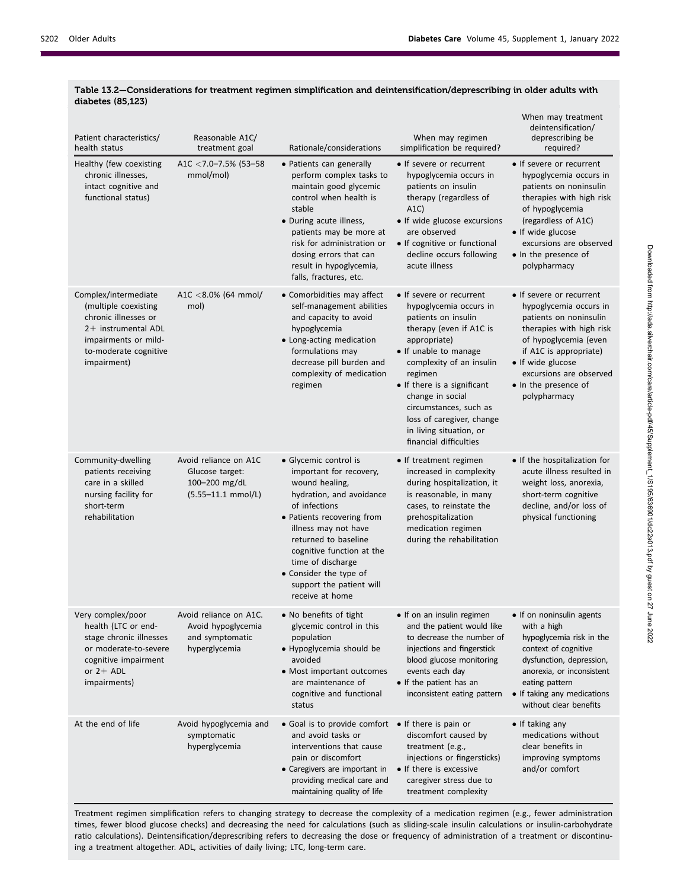| Patient characteristics/<br>health status                                                                                                                   | Reasonable A1C/<br>treatment goal                                                | Rationale/considerations                                                                                                                                                                                                                                                                                                 | When may regimen<br>simplification be required?                                                                                                                                                                                                                                                                                                     | When may treatment<br>deintensification/<br>deprescribing be<br>required?                                                                                                                                                                           |
|-------------------------------------------------------------------------------------------------------------------------------------------------------------|----------------------------------------------------------------------------------|--------------------------------------------------------------------------------------------------------------------------------------------------------------------------------------------------------------------------------------------------------------------------------------------------------------------------|-----------------------------------------------------------------------------------------------------------------------------------------------------------------------------------------------------------------------------------------------------------------------------------------------------------------------------------------------------|-----------------------------------------------------------------------------------------------------------------------------------------------------------------------------------------------------------------------------------------------------|
| Healthy (few coexisting<br>chronic illnesses,<br>intact cognitive and<br>functional status)                                                                 | A1C $<$ 7.0–7.5% (53–58<br>mmol/mol)                                             | • Patients can generally<br>perform complex tasks to<br>maintain good glycemic<br>control when health is<br>stable<br>• During acute illness,<br>patients may be more at<br>risk for administration or<br>dosing errors that can<br>result in hypoglycemia,<br>falls, fractures, etc.                                    | • If severe or recurrent<br>hypoglycemia occurs in<br>patients on insulin<br>therapy (regardless of<br>A1C<br>• If wide glucose excursions<br>are observed<br>• If cognitive or functional<br>decline occurs following<br>acute illness                                                                                                             | • If severe or recurrent<br>hypoglycemia occurs in<br>patients on noninsulin<br>therapies with high risk<br>of hypoglycemia<br>(regardless of A1C)<br>• If wide glucose<br>excursions are observed<br>• In the presence of<br>polypharmacy          |
| Complex/intermediate<br>(multiple coexisting<br>chronic illnesses or<br>2+ instrumental ADL<br>impairments or mild-<br>to-moderate cognitive<br>impairment) | A1C <8.0% (64 mmol/<br>mol)                                                      | • Comorbidities may affect<br>self-management abilities<br>and capacity to avoid<br>hypoglycemia<br>• Long-acting medication<br>formulations may<br>decrease pill burden and<br>complexity of medication<br>regimen                                                                                                      | • If severe or recurrent<br>hypoglycemia occurs in<br>patients on insulin<br>therapy (even if A1C is<br>appropriate)<br>• If unable to manage<br>complexity of an insulin<br>regimen<br>• If there is a significant<br>change in social<br>circumstances, such as<br>loss of caregiver, change<br>in living situation, or<br>financial difficulties | • If severe or recurrent<br>hypoglycemia occurs in<br>patients on noninsulin<br>therapies with high risk<br>of hypoglycemia (even<br>if A1C is appropriate)<br>• If wide glucose<br>excursions are observed<br>• In the presence of<br>polypharmacy |
| Community-dwelling<br>patients receiving<br>care in a skilled<br>nursing facility for<br>short-term<br>rehabilitation                                       | Avoid reliance on A1C<br>Glucose target:<br>100-200 mg/dL<br>(5.55-11.1 mmol/L)  | • Glycemic control is<br>important for recovery,<br>wound healing,<br>hydration, and avoidance<br>of infections<br>• Patients recovering from<br>illness may not have<br>returned to baseline<br>cognitive function at the<br>time of discharge<br>• Consider the type of<br>support the patient will<br>receive at home | • If treatment regimen<br>increased in complexity<br>during hospitalization, it<br>is reasonable, in many<br>cases, to reinstate the<br>prehospitalization<br>medication regimen<br>during the rehabilitation                                                                                                                                       | • If the hospitalization for<br>acute illness resulted in<br>weight loss, anorexia,<br>short-term cognitive<br>decline, and/or loss of<br>physical functioning                                                                                      |
| Very complex/poor<br>health (LTC or end-<br>stage chronic illnesses<br>or moderate-to-severe<br>cognitive impairment<br>or $2+$ ADL<br>impairments)         | Avoid reliance on A1C.<br>Avoid hypoglycemia<br>and symptomatic<br>hyperglycemia | · No benefits of tight<br>glycemic control in this<br>population<br>• Hypoglycemia should be<br>avoided<br>• Most important outcomes<br>are maintenance of<br>cognitive and functional<br>status                                                                                                                         | • If on an insulin regimen<br>and the patient would like<br>to decrease the number of<br>injections and fingerstick<br>blood glucose monitoring<br>events each day<br>• If the patient has an<br>inconsistent eating pattern                                                                                                                        | • If on noninsulin agents<br>with a high<br>hypoglycemia risk in the<br>context of cognitive<br>dysfunction, depression,<br>anorexia, or inconsistent<br>eating pattern<br>• If taking any medications<br>without clear benefits                    |
| At the end of life                                                                                                                                          | Avoid hypoglycemia and<br>symptomatic<br>hyperglycemia                           | • Goal is to provide comfort<br>and avoid tasks or<br>interventions that cause<br>pain or discomfort<br>• Caregivers are important in<br>providing medical care and<br>maintaining quality of life                                                                                                                       | • If there is pain or<br>discomfort caused by<br>treatment (e.g.,<br>injections or fingersticks)<br>• If there is excessive<br>caregiver stress due to<br>treatment complexity                                                                                                                                                                      | $\bullet$ If taking any<br>medications without<br>clear benefits in<br>improving symptoms<br>and/or comfort                                                                                                                                         |

# Table 13.2—Considerations for treatment regimen simplification and deintensification/deprescribing in older adults with diabetes (85,123)

Treatment regimen simplification refers to changing strategy to decrease the complexity of a medication regimen (e.g., fewer administration times, fewer blood glucose checks) and decreasing the need for calculations (such as sliding-scale insulin calculations or insulin-carbohydrate ratio calculations). Deintensification/deprescribing refers to decreasing the dose or frequency of administration of a treatment or discontinuing a treatment altogether. ADL, activities of daily living; LTC, long-term care.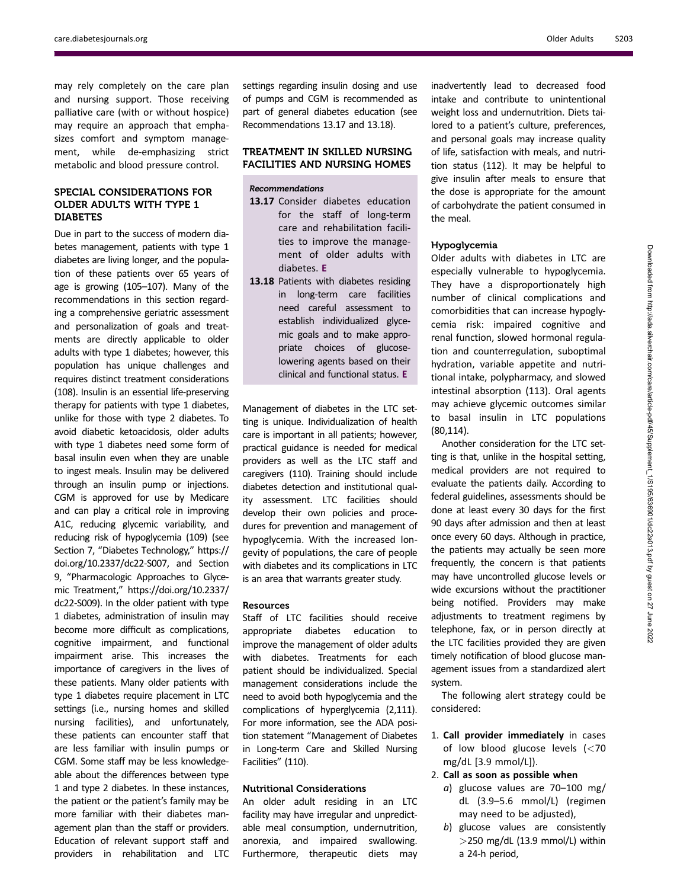may rely completely on the care plan and nursing support. Those receiving palliative care (with or without hospice) may require an approach that emphasizes comfort and symptom management, while de-emphasizing strict metabolic and blood pressure control.

# SPECIAL CONSIDERATIONS FOR OLDER ADULTS WITH TYPE 1 DIABETES

Due in part to the success of modern diabetes management, patients with type 1 diabetes are living longer, and the population of these patients over 65 years of age is growing (105–107). Many of the recommendations in this section regarding a comprehensive geriatric assessment and personalization of goals and treatments are directly applicable to older adults with type 1 diabetes; however, this population has unique challenges and requires distinct treatment considerations (108). Insulin is an essential life-preserving therapy for patients with type 1 diabetes, unlike for those with type 2 diabetes. To avoid diabetic ketoacidosis, older adults with type 1 diabetes need some form of basal insulin even when they are unable to ingest meals. Insulin may be delivered through an insulin pump or injections. CGM is approved for use by Medicare and can play a critical role in improving A1C, reducing glycemic variability, and reducing risk of hypoglycemia (109) (see Section 7, "Diabetes Technology," [https://](https://doi.org/10.2337/dc22-S007) [doi.org/10.2337/dc22-S007](https://doi.org/10.2337/dc22-S007), and Section 9, "Pharmacologic Approaches to Glycemic Treatment," [https://doi.org/10.2337/](https://doi.org/10.2337/dc22-S009) [dc22-S009\)](https://doi.org/10.2337/dc22-S009). In the older patient with type 1 diabetes, administration of insulin may become more difficult as complications, cognitive impairment, and functional impairment arise. This increases the importance of caregivers in the lives of these patients. Many older patients with type 1 diabetes require placement in LTC settings (i.e., nursing homes and skilled nursing facilities), and unfortunately, these patients can encounter staff that are less familiar with insulin pumps or CGM. Some staff may be less knowledgeable about the differences between type 1 and type 2 diabetes. In these instances, the patient or the patient's family may be more familiar with their diabetes management plan than the staff or providers. Education of relevant support staff and providers in rehabilitation and LTC

settings regarding insulin dosing and use of pumps and CGM is recommended as part of general diabetes education (see Recommendations 13.17 and 13.18).

# TREATMENT IN SKILLED NURSING FACILITIES AND NURSING HOMES

# Recommendations

- 13.17 Consider diabetes education for the staff of long-term care and rehabilitation facilities to improve the management of older adults with diabetes. E
- 13.18 Patients with diabetes residing in long-term care facilities need careful assessment to establish individualized glycemic goals and to make appropriate choices of glucoselowering agents based on their clinical and functional status. E

Management of diabetes in the LTC setting is unique. Individualization of health care is important in all patients; however, practical guidance is needed for medical providers as well as the LTC staff and caregivers (110). Training should include diabetes detection and institutional quality assessment. LTC facilities should develop their own policies and procedures for prevention and management of hypoglycemia. With the increased longevity of populations, the care of people with diabetes and its complications in LTC is an area that warrants greater study.

# Resources

Staff of LTC facilities should receive appropriate diabetes education to improve the management of older adults with diabetes. Treatments for each patient should be individualized. Special management considerations include the need to avoid both hypoglycemia and the complications of hyperglycemia (2,111). For more information, see the ADA position statement "Management of Diabetes in Long-term Care and Skilled Nursing Facilities" (110).

# Nutritional Considerations

An older adult residing in an LTC facility may have irregular and unpredictable meal consumption, undernutrition, anorexia, and impaired swallowing. Furthermore, therapeutic diets may

inadvertently lead to decreased food intake and contribute to unintentional weight loss and undernutrition. Diets tailored to a patient's culture, preferences, and personal goals may increase quality of life, satisfaction with meals, and nutrition status (112). It may be helpful to give insulin after meals to ensure that the dose is appropriate for the amount of carbohydrate the patient consumed in the meal.

## Hypoglycemia

Older adults with diabetes in LTC are especially vulnerable to hypoglycemia. They have a disproportionately high number of clinical complications and comorbidities that can increase hypoglycemia risk: impaired cognitive and renal function, slowed hormonal regulation and counterregulation, suboptimal hydration, variable appetite and nutritional intake, polypharmacy, and slowed intestinal absorption (113). Oral agents may achieve glycemic outcomes similar to basal insulin in LTC populations (80,114).

Another consideration for the LTC setting is that, unlike in the hospital setting, medical providers are not required to evaluate the patients daily. According to federal guidelines, assessments should be done at least every 30 days for the first 90 days after admission and then at least once every 60 days. Although in practice, the patients may actually be seen more frequently, the concern is that patients may have uncontrolled glucose levels or wide excursions without the practitioner being notified. Providers may make adjustments to treatment regimens by telephone, fax, or in person directly at the LTC facilities provided they are given timely notification of blood glucose management issues from a standardized alert system.

The following alert strategy could be considered:

1. Call provider immediately in cases of low blood glucose levels (<70 mg/dL [3.9 mmol/L]).

# 2. Call as soon as possible when

- a) glucose values are 70–100 mg/ dL (3.9–5.6 mmol/L) (regimen may need to be adjusted),
- b) glucose values are consistently  $>$ 250 mg/dL (13.9 mmol/L) within a 24-h period,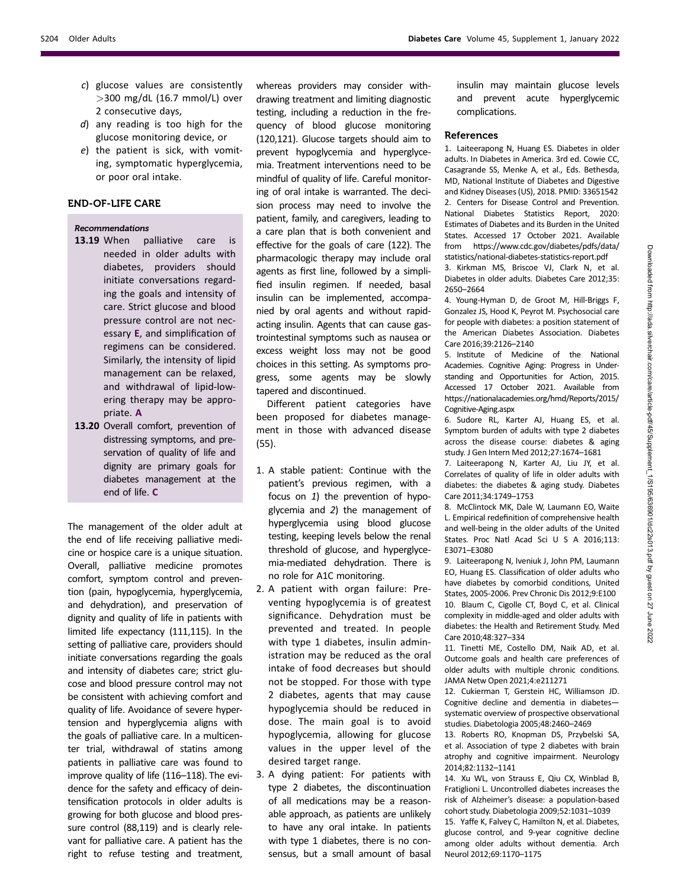- c) glucose values are consistently >300 mg/dL (16.7 mmol/L) over 2 consecutive days,
- d) any reading is too high for the glucose monitoring device, or
- e) the patient is sick, with vomiting, symptomatic hyperglycemia, or poor oral intake.

# END-OF-LIFE CARE

## Recommendations

- 13.19 When palliative care is needed in older adults with diabetes, providers should initiate conversations regarding the goals and intensity of care. Strict glucose and blood pressure control are not necessary E, and simplification of regimens can be considered. Similarly, the intensity of lipid management can be relaxed, and withdrawal of lipid-lowering therapy may be appropriate. A
- 13.20 Overall comfort, prevention of distressing symptoms, and preservation of quality of life and dignity are primary goals for diabetes management at the end of life. C

The management of the older adult at the end of life receiving palliative medicine or hospice care is a unique situation. Overall, palliative medicine promotes comfort, symptom control and prevention (pain, hypoglycemia, hyperglycemia, and dehydration), and preservation of dignity and quality of life in patients with limited life expectancy (111,115). In the setting of palliative care, providers should initiate conversations regarding the goals and intensity of diabetes care; strict glucose and blood pressure control may not be consistent with achieving comfort and quality of life. Avoidance of severe hypertension and hyperglycemia aligns with the goals of palliative care. In a multicenter trial, withdrawal of statins among patients in palliative care was found to improve quality of life (116–118). The evidence for the safety and efficacy of deintensification protocols in older adults is growing for both glucose and blood pressure control (88,119) and is clearly relevant for palliative care. A patient has the right to refuse testing and treatment,

whereas providers may consider withdrawing treatment and limiting diagnostic testing, including a reduction in the frequency of blood glucose monitoring (120,121). Glucose targets should aim to prevent hypoglycemia and hyperglycemia. Treatment interventions need to be mindful of quality of life. Careful monitoring of oral intake is warranted. The decision process may need to involve the patient, family, and caregivers, leading to a care plan that is both convenient and effective for the goals of care (122). The pharmacologic therapy may include oral agents as first line, followed by a simplified insulin regimen. If needed, basal insulin can be implemented, accompanied by oral agents and without rapidacting insulin. Agents that can cause gastrointestinal symptoms such as nausea or excess weight loss may not be good choices in this setting. As symptoms progress, some agents may be slowly tapered and discontinued.

Different patient categories have been proposed for diabetes management in those with advanced disease (55).

- 1. A stable patient: Continue with the patient's previous regimen, with a focus on 1) the prevention of hypoglycemia and 2) the management of hyperglycemia using blood glucose testing, keeping levels below the renal threshold of glucose, and hyperglycemia-mediated dehydration. There is no role for A1C monitoring.
- 2. A patient with organ failure: Preventing hypoglycemia is of greatest significance. Dehydration must be prevented and treated. In people with type 1 diabetes, insulin administration may be reduced as the oral intake of food decreases but should not be stopped. For those with type 2 diabetes, agents that may cause hypoglycemia should be reduced in dose. The main goal is to avoid hypoglycemia, allowing for glucose values in the upper level of the desired target range.
- 3. A dying patient: For patients with type 2 diabetes, the discontinuation of all medications may be a reasonable approach, as patients are unlikely to have any oral intake. In patients with type 1 diabetes, there is no consensus, but a small amount of basal

insulin may maintain glucose levels and prevent acute hyperglycemic complications.

## References

1. Laiteerapong N, Huang ES. Diabetes in older adults. In Diabetes in America. 3rd ed. Cowie CC, Casagrande SS, Menke A, et al., Eds. Bethesda, MD, National Institute of Diabetes and Digestive and Kidney Diseases (US), 2018. PMID: 33651542 2. Centers for Disease Control and Prevention. National Diabetes Statistics Report, 2020: Estimates of Diabetes and its Burden in the United States. Accessed 17 October 2021. Available from [https://www.cdc.gov/diabetes/pdfs/data/](https://www.cdc.gov/diabetes/pdfs/data/statistics/national-diabetes-statistics-report.pdf) [statistics/national-diabetes-statistics-report.pdf](https://www.cdc.gov/diabetes/pdfs/data/statistics/national-diabetes-statistics-report.pdf)

3. Kirkman MS, Briscoe VJ, Clark N, et al. Diabetes in older adults. Diabetes Care 2012;35: 2650–2664

4. Young-Hyman D, de Groot M, Hill-Briggs F, Gonzalez JS, Hood K, Peyrot M. Psychosocial care for people with diabetes: a position statement of the American Diabetes Association. Diabetes Care 2016;39:2126–2140

5. Institute of Medicine of the National Academies. Cognitive Aging: Progress in Understanding and Opportunities for Action, 2015. Accessed 17 October 2021. Available from [https://nationalacademies.org/hmd/Reports/2015/](https://nationalacademies.org/hmd/Reports/2015/Cognitive-Aging.aspx) [Cognitive-Aging.aspx](https://nationalacademies.org/hmd/Reports/2015/Cognitive-Aging.aspx)

6. Sudore RL, Karter AJ, Huang ES, et al. Symptom burden of adults with type 2 diabetes across the disease course: diabetes & aging study. J Gen Intern Med 2012;27:1674–1681

7. Laiteerapong N, Karter AJ, Liu JY, et al. Correlates of quality of life in older adults with diabetes: the diabetes & aging study. Diabetes Care 2011;34:1749–1753

8. McClintock MK, Dale W, Laumann EO, Waite L. Empirical redefinition of comprehensive health and well-being in the older adults of the United States. Proc Natl Acad Sci U S A 2016;113: E3071–E3080

9. Laiteerapong N, Iveniuk J, John PM, Laumann EO, Huang ES. Classification of older adults who have diabetes by comorbid conditions, United States, 2005-2006. Prev Chronic Dis 2012;9:E100 10. Blaum C, Cigolle CT, Boyd C, et al. Clinical complexity in middle-aged and older adults with diabetes: the Health and Retirement Study. Med Care 2010;48:327–334

11. Tinetti ME, Costello DM, Naik AD, et al. Outcome goals and health care preferences of older adults with multiple chronic conditions. JAMA Netw Open 2021;4:e211271

12. Cukierman T, Gerstein HC, Williamson JD. Cognitive decline and dementia in diabetes systematic overview of prospective observational studies. Diabetologia 2005;48:2460–2469

13. Roberts RO, Knopman DS, Przybelski SA, et al. Association of type 2 diabetes with brain atrophy and cognitive impairment. Neurology 2014;82:1132–1141

14. Xu WL, von Strauss E, Qiu CX, Winblad B, Fratiglioni L. Uncontrolled diabetes increases the risk of Alzheimer's disease: a population-based cohort study. Diabetologia 2009;52:1031–1039

15. Yaffe K, Falvey C, Hamilton N, et al. Diabetes, glucose control, and 9-year cognitive decline among older adults without dementia. Arch Neurol 2012;69:1170–1175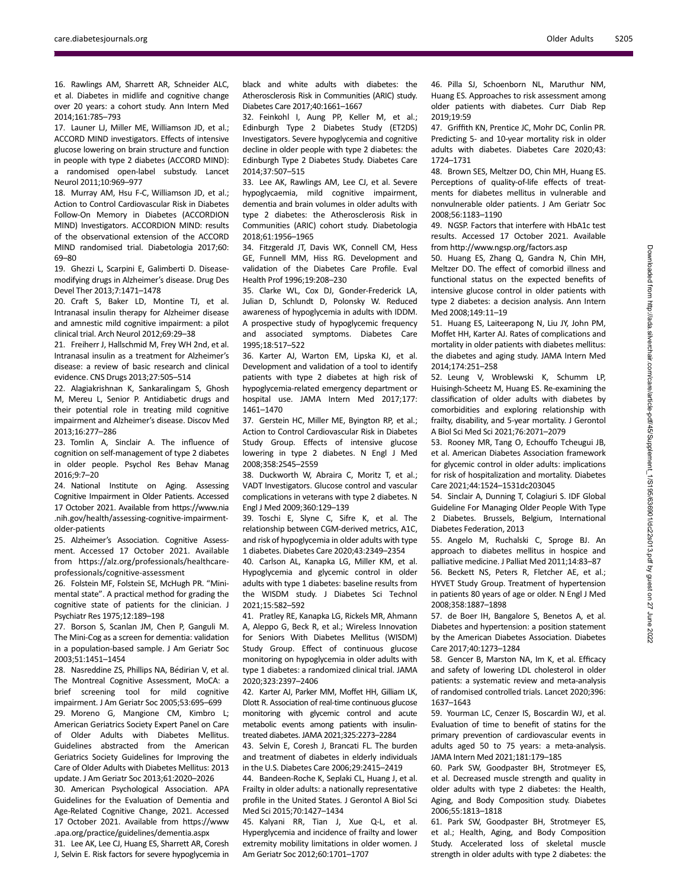16. Rawlings AM, Sharrett AR, Schneider ALC, et al. Diabetes in midlife and cognitive change over 20 years: a cohort study. Ann Intern Med 2014;161:785–793

17. Launer LJ, Miller ME, Williamson JD, et al.; ACCORD MIND investigators. Effects of intensive glucose lowering on brain structure and function in people with type 2 diabetes (ACCORD MIND): a randomised open-label substudy. Lancet Neurol 2011;10:969–977

18. Murray AM, Hsu F-C, Williamson JD, et al.; Action to Control Cardiovascular Risk in Diabetes Follow-On Memory in Diabetes (ACCORDION MIND) Investigators. ACCORDION MIND: results of the observational extension of the ACCORD MIND randomised trial. Diabetologia 2017;60: 69–80

19. Ghezzi L, Scarpini E, Galimberti D. Diseasemodifying drugs in Alzheimer's disease. Drug Des Devel Ther 2013;7:1471–1478

20. Craft S, Baker LD, Montine TJ, et al. Intranasal insulin therapy for Alzheimer disease and amnestic mild cognitive impairment: a pilot clinical trial. Arch Neurol 2012;69:29–38

21. Freiherr J, Hallschmid M, Frey WH 2nd, et al. Intranasal insulin as a treatment for Alzheimer's disease: a review of basic research and clinical evidence. CNS Drugs 2013;27:505–514

22. Alagiakrishnan K, Sankaralingam S, Ghosh M, Mereu L, Senior P. Antidiabetic drugs and their potential role in treating mild cognitive impairment and Alzheimer's disease. Discov Med 2013;16:277–286

23. Tomlin A, Sinclair A. The influence of cognition on self-management of type 2 diabetes in older people. Psychol Res Behav Manag 2016;9:7–20

24. National Institute on Aging. Assessing Cognitive Impairment in Older Patients. Accessed 17 October 2021. Available from [https://www.nia](https://www.nia.nih.gov/health/assessing-cognitive-impairment-older-patients) [.nih.gov/health/assessing-cognitive-impairment](https://www.nia.nih.gov/health/assessing-cognitive-impairment-older-patients)[older-patients](https://www.nia.nih.gov/health/assessing-cognitive-impairment-older-patients)

25. Alzheimer's Association. Cognitive Assessment. Accessed 17 October 2021. Available from [https://alz.org/professionals/healthcare](https://alz.org/professionals/healthcare-professionals/cognitive-assessment)[professionals/cognitive-assessment](https://alz.org/professionals/healthcare-professionals/cognitive-assessment)

26. Folstein MF, Folstein SE, McHugh PR. "Minimental state". A practical method for grading the cognitive state of patients for the clinician. J Psychiatr Res 1975;12:189–198

27. Borson S, Scanlan JM, Chen P, Ganguli M. The Mini-Cog as a screen for dementia: validation in a population-based sample. J Am Geriatr Soc 2003;51:1451–1454

28. Nasreddine ZS, Phillips NA, Bédirian V, et al. The Montreal Cognitive Assessment, MoCA: a brief screening tool for mild cognitive impairment. J Am Geriatr Soc 2005;53:695–699 29. Moreno G, Mangione CM, Kimbro L; American Geriatrics Society Expert Panel on Care of Older Adults with Diabetes Mellitus. Guidelines abstracted from the American Geriatrics Society Guidelines for Improving the Care of Older Adults with Diabetes Mellitus: 2013 update. J Am Geriatr Soc 2013;61:2020–2026

30. American Psychological Association. APA Guidelines for the Evaluation of Dementia and Age-Related Cognitive Change, 2021. Accessed 17 October 2021. Available from [https://www](https://www.apa.org/practice/guidelines/dementia.aspx) [.apa.org/practice/guidelines/dementia.aspx](https://www.apa.org/practice/guidelines/dementia.aspx)

31. Lee AK, Lee CJ, Huang ES, Sharrett AR, Coresh J, Selvin E. Risk factors for severe hypoglycemia in black and white adults with diabetes: the Atherosclerosis Risk in Communities (ARIC) study. Diabetes Care 2017;40:1661–1667

32. Feinkohl I, Aung PP, Keller M, et al.; Edinburgh Type 2 Diabetes Study (ET2DS) Investigators. Severe hypoglycemia and cognitive decline in older people with type 2 diabetes: the Edinburgh Type 2 Diabetes Study. Diabetes Care 2014;37:507–515

33. Lee AK, Rawlings AM, Lee CJ, et al. Severe hypoglycaemia, mild cognitive impairment, dementia and brain volumes in older adults with type 2 diabetes: the Atherosclerosis Risk in Communities (ARIC) cohort study. Diabetologia 2018;61:1956–1965

34. Fitzgerald JT, Davis WK, Connell CM, Hess GE, Funnell MM, Hiss RG. Development and validation of the Diabetes Care Profile. Eval Health Prof 1996;19:208–230

35. Clarke WL, Cox DJ, Gonder-Frederick LA, Julian D, Schlundt D, Polonsky W. Reduced awareness of hypoglycemia in adults with IDDM. A prospective study of hypoglycemic frequency and associated symptoms. Diabetes Care 1995;18:517–522

36. Karter AJ, Warton EM, Lipska KJ, et al. Development and validation of a tool to identify patients with type 2 diabetes at high risk of hypoglycemia-related emergency department or hospital use. JAMA Intern Med 2017;177: 1461–1470

37. Gerstein HC, Miller ME, Byington RP, et al.; Action to Control Cardiovascular Risk in Diabetes Study Group. Effects of intensive glucose lowering in type 2 diabetes. N Engl J Med 2008;358:2545–2559

38. Duckworth W, Abraira C, Moritz T, et al.; VADT Investigators. Glucose control and vascular complications in veterans with type 2 diabetes. N Engl J Med 2009;360:129–139

39. Toschi E, Slyne C, Sifre K, et al. The relationship between CGM-derived metrics, A1C, and risk of hypoglycemia in older adults with type 1 diabetes. Diabetes Care 2020;43:2349–2354

40. Carlson AL, Kanapka LG, Miller KM, et al. Hypoglycemia and glycemic control in older adults with type 1 diabetes: baseline results from the WISDM study. J Diabetes Sci Technol 2021;15:582–592

41. Pratley RE, Kanapka LG, Rickels MR, Ahmann A, Aleppo G, Beck R, et al.; Wireless Innovation for Seniors With Diabetes Mellitus (WISDM) Study Group. Effect of continuous glucose monitoring on hypoglycemia in older adults with type 1 diabetes: a randomized clinical trial. JAMA 2020;323:2397–2406

42. Karter AJ, Parker MM, Moffet HH, Gilliam LK, Dlott R. Association of real-time continuous glucose monitoring with glycemic control and acute metabolic events among patients with insulintreated diabetes. JAMA 2021;325:2273–2284

43. Selvin E, Coresh J, Brancati FL. The burden and treatment of diabetes in elderly individuals in the U.S. Diabetes Care 2006;29:2415–2419

44. Bandeen-Roche K, Seplaki CL, Huang J, et al. Frailty in older adults: a nationally representative profile in the United States. J Gerontol A Biol Sci Med Sci 2015;70:1427–1434

45. Kalyani RR, Tian J, Xue Q-L, et al. Hyperglycemia and incidence of frailty and lower extremity mobility limitations in older women. J Am Geriatr Soc 2012;60:1701–1707

46. Pilla SJ, Schoenborn NL, Maruthur NM, Huang ES. Approaches to risk assessment among older patients with diabetes. Curr Diab Rep 2019;19:59

47. Griffith KN, Prentice JC, Mohr DC, Conlin PR. Predicting 5- and 10-year mortality risk in older adults with diabetes. Diabetes Care 2020;43: 1724–1731

48. Brown SES, Meltzer DO, Chin MH, Huang ES. Perceptions of quality-of-life effects of treatments for diabetes mellitus in vulnerable and nonvulnerable older patients. J Am Geriatr Soc 2008;56:1183–1190

49. NGSP. Factors that interfere with HbA1c test results. Accessed 17 October 2021. Available from<http://www.ngsp.org/factors.asp>

50. Huang ES, Zhang Q, Gandra N, Chin MH, Meltzer DO. The effect of comorbid illness and functional status on the expected benefits of intensive glucose control in older patients with type 2 diabetes: a decision analysis. Ann Intern Med 2008;149:11–19

51. Huang ES, Laiteerapong N, Liu JY, John PM, Moffet HH, Karter AJ. Rates of complications and mortality in older patients with diabetes mellitus: the diabetes and aging study. JAMA Intern Med 2014;174:251–258

52. Leung V, Wroblewski K, Schumm LP, Huisingh-Scheetz M, Huang ES. Re-examining the classification of older adults with diabetes by comorbidities and exploring relationship with frailty, disability, and 5-year mortality. J Gerontol A Biol Sci Med Sci 2021;76:2071–2079

53. Rooney MR, Tang O, Echouffo Tcheugui JB, et al. American Diabetes Association framework for glycemic control in older adults: implications for risk of hospitalization and mortality. Diabetes Care 2021;44:1524–1531dc203045

54. Sinclair A, Dunning T, Colagiuri S. IDF Global Guideline For Managing Older People With Type 2 Diabetes. Brussels, Belgium, International Diabetes Federation, 2013

55. Angelo M, Ruchalski C, Sproge BJ. An approach to diabetes mellitus in hospice and palliative medicine. J Palliat Med 2011;14:83–87 56. Beckett NS, Peters R, Fletcher AE, et al.;

HYVET Study Group. Treatment of hypertension in patients 80 years of age or older. N Engl J Med 2008;358:1887–1898

57. de Boer IH, Bangalore S, Benetos A, et al. Diabetes and hypertension: a position statement by the American Diabetes Association. Diabetes Care 2017;40:1273–1284

58. Gencer B, Marston NA, Im K, et al. Efficacy and safety of lowering LDL cholesterol in older patients: a systematic review and meta-analysis of randomised controlled trials. Lancet 2020;396: 1637–1643

59. Yourman LC, Cenzer IS, Boscardin WJ, et al. Evaluation of time to benefit of statins for the primary prevention of cardiovascular events in adults aged 50 to 75 years: a meta-analysis. JAMA Intern Med 2021;181:179–185

60. Park SW, Goodpaster BH, Strotmeyer ES, et al. Decreased muscle strength and quality in older adults with type 2 diabetes: the Health, Aging, and Body Composition study. Diabetes 2006;55:1813–1818

61. Park SW, Goodpaster BH, Strotmeyer ES, et al.; Health, Aging, and Body Composition Study. Accelerated loss of skeletal muscle strength in older adults with type 2 diabetes: the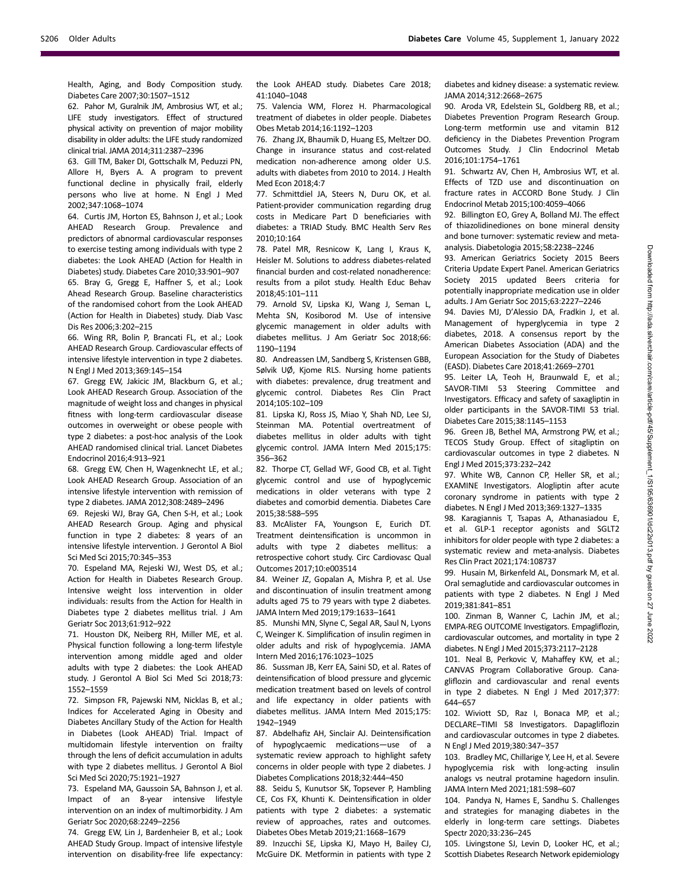Health, Aging, and Body Composition study. Diabetes Care 2007;30:1507–1512

62. Pahor M, Guralnik JM, Ambrosius WT, et al.; LIFE study investigators. Effect of structured physical activity on prevention of major mobility disability in older adults: the LIFE study randomized clinical trial. JAMA 2014;311:2387–2396

63. Gill TM, Baker DI, Gottschalk M, Peduzzi PN, Allore H, Byers A. A program to prevent functional decline in physically frail, elderly persons who live at home. N Engl J Med 2002;347:1068–1074

64. Curtis JM, Horton ES, Bahnson J, et al.; Look AHEAD Research Group. Prevalence and predictors of abnormal cardiovascular responses to exercise testing among individuals with type 2 diabetes: the Look AHEAD (Action for Health in Diabetes) study. Diabetes Care 2010;33:901–907 65. Bray G, Gregg E, Haffner S, et al.; Look

Ahead Research Group. Baseline characteristics of the randomised cohort from the Look AHEAD (Action for Health in Diabetes) study. Diab Vasc Dis Res 2006;3:202–215

66. Wing RR, Bolin P, Brancati FL, et al.; Look AHEAD Research Group. Cardiovascular effects of intensive lifestyle intervention in type 2 diabetes. N Engl J Med 2013;369:145–154

67. Gregg EW, Jakicic JM, Blackburn G, et al.; Look AHEAD Research Group. Association of the magnitude of weight loss and changes in physical fitness with long-term cardiovascular disease outcomes in overweight or obese people with type 2 diabetes: a post-hoc analysis of the Look AHEAD randomised clinical trial. Lancet Diabetes Endocrinol 2016;4:913–921

68. Gregg EW, Chen H, Wagenknecht LE, et al.; Look AHEAD Research Group. Association of an intensive lifestyle intervention with remission of type 2 diabetes. JAMA 2012;308:2489–2496

69. Rejeski WJ, Bray GA, Chen S-H, et al.; Look AHEAD Research Group. Aging and physical function in type 2 diabetes: 8 years of an intensive lifestyle intervention. J Gerontol A Biol Sci Med Sci 2015;70:345–353

70. Espeland MA, Rejeski WJ, West DS, et al.; Action for Health in Diabetes Research Group. Intensive weight loss intervention in older individuals: results from the Action for Health in Diabetes type 2 diabetes mellitus trial. J Am Geriatr Soc 2013;61:912–922

71. Houston DK, Neiberg RH, Miller ME, et al. Physical function following a long-term lifestyle intervention among middle aged and older adults with type 2 diabetes: the Look AHEAD study. J Gerontol A Biol Sci Med Sci 2018;73: 1552–1559

72. Simpson FR, Pajewski NM, Nicklas B, et al.; Indices for Accelerated Aging in Obesity and Diabetes Ancillary Study of the Action for Health in Diabetes (Look AHEAD) Trial. Impact of multidomain lifestyle intervention on frailty through the lens of deficit accumulation in adults with type 2 diabetes mellitus. J Gerontol A Biol Sci Med Sci 2020;75:1921–1927

73. Espeland MA, Gaussoin SA, Bahnson J, et al. Impact of an 8-year intensive lifestyle intervention on an index of multimorbidity. J Am Geriatr Soc 2020;68:2249–2256

74. Gregg EW, Lin J, Bardenheier B, et al.; Look AHEAD Study Group. Impact of intensive lifestyle intervention on disability-free life expectancy: the Look AHEAD study. Diabetes Care 2018; 41:1040–1048

75. Valencia WM, Florez H. Pharmacological treatment of diabetes in older people. Diabetes Obes Metab 2014;16:1192–1203

76. Zhang JX, Bhaumik D, Huang ES, Meltzer DO. Change in insurance status and cost-related medication non-adherence among older U.S. adults with diabetes from 2010 to 2014. J Health Med Econ 2018;4:7

77. Schmittdiel JA, Steers N, Duru OK, et al. Patient-provider communication regarding drug costs in Medicare Part D beneficiaries with diabetes: a TRIAD Study. BMC Health Serv Res 2010;10:164

78. Patel MR, Resnicow K, Lang I, Kraus K, Heisler M. Solutions to address diabetes-related financial burden and cost-related nonadherence: results from a pilot study. Health Educ Behav 2018;45:101–111

79. Arnold SV, Lipska KJ, Wang J, Seman L, Mehta SN, Kosiborod M. Use of intensive glycemic management in older adults with diabetes mellitus. J Am Geriatr Soc 2018;66: 1190–1194

80. Andreassen LM, Sandberg S, Kristensen GBB, Sølvik UØ, Kjome RLS. Nursing home patients with diabetes: prevalence, drug treatment and glycemic control. Diabetes Res Clin Pract 2014;105:102–109

81. Lipska KJ, Ross JS, Miao Y, Shah ND, Lee SJ, Steinman MA. Potential overtreatment of diabetes mellitus in older adults with tight glycemic control. JAMA Intern Med 2015;175: 356–362

82. Thorpe CT, Gellad WF, Good CB, et al. Tight glycemic control and use of hypoglycemic medications in older veterans with type 2 diabetes and comorbid dementia. Diabetes Care 2015;38:588–595

83. McAlister FA, Youngson E, Eurich DT. Treatment deintensification is uncommon in adults with type 2 diabetes mellitus: a retrospective cohort study. Circ Cardiovasc Qual Outcomes 2017;10:e003514

84. Weiner JZ, Gopalan A, Mishra P, et al. Use and discontinuation of insulin treatment among adults aged 75 to 79 years with type 2 diabetes. JAMA Intern Med 2019;179:1633–1641

85. Munshi MN, Slyne C, Segal AR, Saul N, Lyons C, Weinger K. Simplification of insulin regimen in older adults and risk of hypoglycemia. JAMA Intern Med 2016;176:1023–1025

86. Sussman JB, Kerr EA, Saini SD, et al. Rates of deintensification of blood pressure and glycemic medication treatment based on levels of control and life expectancy in older patients with diabetes mellitus. JAMA Intern Med 2015;175: 1942–1949

87. Abdelhafiz AH, Sinclair AJ. Deintensification of hypoglycaemic medications—use of a systematic review approach to highlight safety concerns in older people with type 2 diabetes. J Diabetes Complications 2018;32:444–450

88. Seidu S, Kunutsor SK, Topsever P, Hambling CE, Cos FX, Khunti K. Deintensification in older patients with type 2 diabetes: a systematic review of approaches, rates and outcomes. Diabetes Obes Metab 2019;21:1668–1679

89. Inzucchi SE, Lipska KJ, Mayo H, Bailey CJ, McGuire DK. Metformin in patients with type 2 diabetes and kidney disease: a systematic review. JAMA 2014;312:2668–2675

90. Aroda VR, Edelstein SL, Goldberg RB, et al.; Diabetes Prevention Program Research Group. Long-term metformin use and vitamin B12 deficiency in the Diabetes Prevention Program Outcomes Study. J Clin Endocrinol Metab 2016;101:1754–1761

91. Schwartz AV, Chen H, Ambrosius WT, et al. Effects of TZD use and discontinuation on fracture rates in ACCORD Bone Study. J Clin Endocrinol Metab 2015;100:4059–4066

92. Billington EO, Grey A, Bolland MJ. The effect of thiazolidinediones on bone mineral density and bone turnover: systematic review and metaanalysis. Diabetologia 2015;58:2238–2246

93. American Geriatrics Society 2015 Beers Criteria Update Expert Panel. American Geriatrics Society 2015 updated Beers criteria for potentially inappropriate medication use in older adults. J Am Geriatr Soc 2015;63:2227–2246

94. Davies MJ, D'Alessio DA, Fradkin J, et al. Management of hyperglycemia in type 2 diabetes, 2018. A consensus report by the American Diabetes Association (ADA) and the European Association for the Study of Diabetes (EASD). Diabetes Care 2018;41:2669–2701

95. Leiter LA, Teoh H, Braunwald E, et al.; SAVOR-TIMI 53 Steering Committee and Investigators. Efficacy and safety of saxagliptin in older participants in the SAVOR-TIMI 53 trial. Diabetes Care 2015;38:1145–1153

96. Green JB, Bethel MA, Armstrong PW, et al.; TECOS Study Group. Effect of sitagliptin on cardiovascular outcomes in type 2 diabetes. N Engl J Med 2015;373:232–242

97. White WB, Cannon CP, Heller SR, et al.; EXAMINE Investigators. Alogliptin after acute coronary syndrome in patients with type 2 diabetes. N Engl J Med 2013;369:1327–1335

98. Karagiannis T, Tsapas A, Athanasiadou E, et al. GLP-1 receptor agonists and SGLT2 inhibitors for older people with type 2 diabetes: a systematic review and meta-analysis. Diabetes Res Clin Pract 2021;174:108737

99. Husain M, Birkenfeld AL, Donsmark M, et al. Oral semaglutide and cardiovascular outcomes in patients with type 2 diabetes. N Engl J Med 2019;381:841–851

100. Zinman B, Wanner C, Lachin JM, et al.; EMPA-REG OUTCOME Investigators. Empagliflozin, cardiovascular outcomes, and mortality in type 2 diabetes. N Engl J Med 2015;373:2117–2128

101. Neal B, Perkovic V, Mahaffey KW, et al.; CANVAS Program Collaborative Group. Canagliflozin and cardiovascular and renal events in type 2 diabetes. N Engl J Med 2017;377: 644–657

102. Wiviott SD, Raz I, Bonaca MP, et al.; DECLARE–TIMI 58 Investigators. Dapagliflozin and cardiovascular outcomes in type 2 diabetes. N Engl J Med 2019;380:347–357

103. Bradley MC, Chillarige Y, Lee H, et al. Severe hypoglycemia risk with long-acting insulin analogs vs neutral protamine hagedorn insulin. JAMA Intern Med 2021;181:598–607

104. Pandya N, Hames E, Sandhu S. Challenges and strategies for managing diabetes in the elderly in long-term care settings. Diabetes Spectr 2020;33:236–245

105. Livingstone SJ, Levin D, Looker HC, et al.; Scottish Diabetes Research Network epidemiology